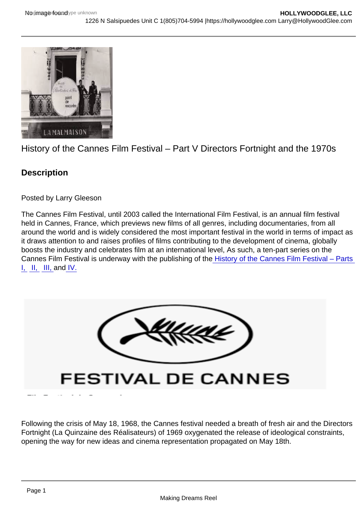## History of the Cannes Film Festival – Part V Directors Fortnight and the 1970s

**Description** 

Posted by Larry Gleeson

The Cannes Film Festival, until 2003 called the International Film Festival, is an annual film festival held in Cannes, France, which previews new films of all genres, including documentaries, from all around the world and is widely considered the most important festival in the world in terms of impact as it draws attention to and raises profiles of films contributing to the development of cinema, globally boosts the industry and celebrates film at an international level, As such, a ten-part series on the Cannes Film Festival is underway with the publishing of the [History of the Cannes Film Festival – Parts](https://hollywoodglee.com/2022/03/24/history-of-the-cannes-film-festival-part-i/)  [I,](https://hollywoodglee.com/2022/03/24/history-of-the-cannes-film-festival-part-i/)  $\parallel$ ,  $\parallel$ , and  $\parallel$ .

Following the crisis of May 18, 1968, the Cannes festival needed a breath of fresh air and the Directors Fortnight (La Quinzaine des Réalisateurs) of 1969 oxygenated the release of ideological constraints, opening the way for new ideas and cinema representation propagated on May 18th.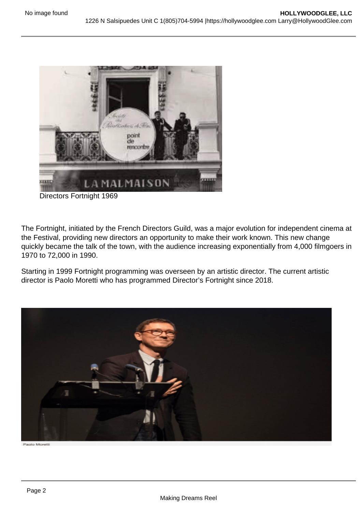Directors Fortnight 1969

The Fortnight, initiated by the French Directors Guild, was a major evolution for independent cinema at the Festival, providing new directors an opportunity to make their work known. This new change quickly became the talk of the town, with the audience increasing exponentially from 4,000 filmgoers in 1970 to 72,000 in 1990.

Starting in 1999 Fortnight programming was overseen by an artistic director. The current artistic director is Paolo Moretti who has programmed Director's Fortnight since 2018.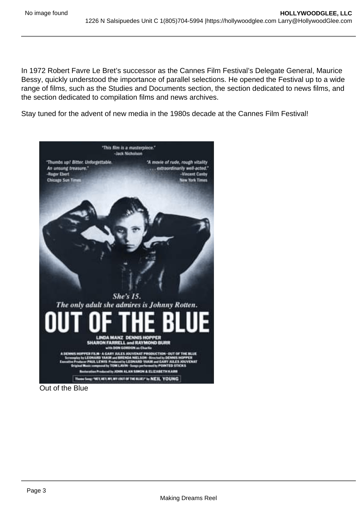In 1972 Robert Favre Le Bret's successor as the Cannes Film Festival's Delegate General, Maurice Bessy, quickly understood the importance of parallel selections. He opened the Festival up to a wide range of films, such as the Studies and Documents section, the section dedicated to news films, and the section dedicated to compilation films and news archives.

Stay tuned for the advent of new media in the 1980s decade at the Cannes Film Festival!

Out of the Blue